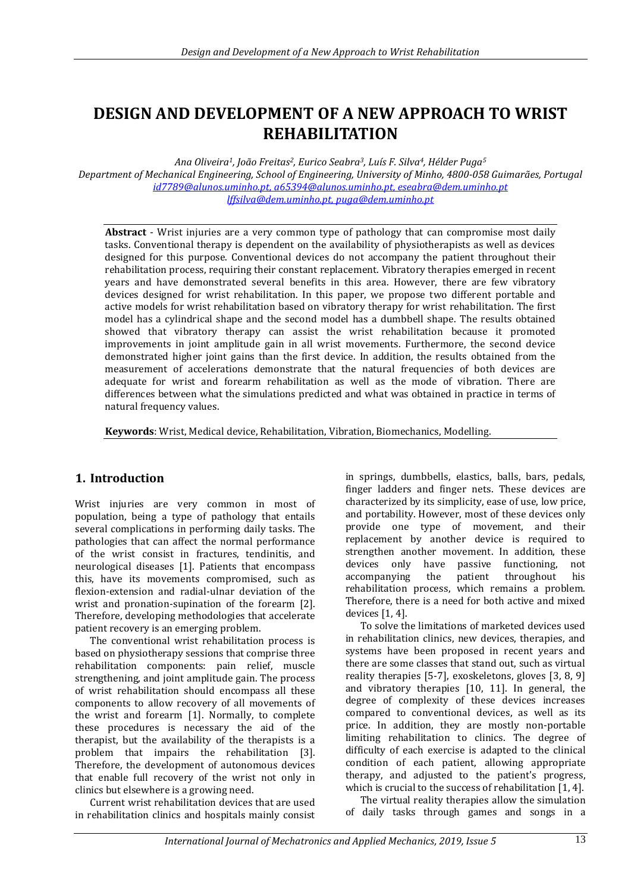# **DESIGN AND DEVELOPMENT OF A NEW APPROACH TO WRIST REHABILITATION**

*Ana Oliveira1, João Freitas2, Eurico Seabra3, Luís F. Silva4, Hélder Puga<sup>5</sup> Department of Mechanical Engineering, School of Engineering, University of Minho, 4800-058 Guimarães, Portugal [id7789@alunos.uminho.pt,](mailto:id7789@alunos.uminho.pt) [a65394@alunos.uminho.pt,](mailto:a65394@alunos.uminho.pt) eseabra@dem.uminho.pt [lffsilva@dem.uminho.pt,](mailto:lffsilva@dem.uminho.pt) puga@dem.uminho.pt*

**Abstract** - Wrist injuries are a very common type of pathology that can compromise most daily tasks. Conventional therapy is dependent on the availability of physiotherapists as well as devices designed for this purpose. Conventional devices do not accompany the patient throughout their rehabilitation process, requiring their constant replacement. Vibratory therapies emerged in recent years and have demonstrated several benefits in this area. However, there are few vibratory devices designed for wrist rehabilitation. In this paper, we propose two different portable and active models for wrist rehabilitation based on vibratory therapy for wrist rehabilitation. The first model has a cylindrical shape and the second model has a dumbbell shape. The results obtained showed that vibratory therapy can assist the wrist rehabilitation because it promoted improvements in joint amplitude gain in all wrist movements. Furthermore, the second device demonstrated higher joint gains than the first device. In addition, the results obtained from the measurement of accelerations demonstrate that the natural frequencies of both devices are adequate for wrist and forearm rehabilitation as well as the mode of vibration. There are differences between what the simulations predicted and what was obtained in practice in terms of natural frequency values.

**Keywords**: Wrist, Medical device, Rehabilitation, Vibration, Biomechanics, Modelling.

## **1. Introduction**

Wrist injuries are very common in most of population, being a type of pathology that entails several complications in performing daily tasks. The pathologies that can affect the normal performance of the wrist consist in fractures, tendinitis, and neurological diseases [1]. Patients that encompass this, have its movements compromised, such as flexion-extension and radial-ulnar deviation of the wrist and pronation-supination of the forearm [2]. Therefore, developing methodologies that accelerate patient recovery is an emerging problem.

The conventional wrist rehabilitation process is based on physiotherapy sessions that comprise three rehabilitation components: pain relief, muscle strengthening, and joint amplitude gain. The process of wrist rehabilitation should encompass all these components to allow recovery of all movements of the wrist and forearm [1]. Normally, to complete these procedures is necessary the aid of the therapist, but the availability of the therapists is a problem that impairs the rehabilitation [3]. Therefore, the development of autonomous devices that enable full recovery of the wrist not only in clinics but elsewhere is a growing need.

Current wrist rehabilitation devices that are used in rehabilitation clinics and hospitals mainly consist in springs, dumbbells, elastics, balls, bars, pedals, finger ladders and finger nets. These devices are characterized by its simplicity, ease of use, low price, and portability. However, most of these devices only provide one type of movement, and their replacement by another device is required to strengthen another movement. In addition, these devices only have passive functioning, not accompanying the patient throughout his rehabilitation process, which remains a problem. Therefore, there is a need for both active and mixed devices [1, 4].

To solve the limitations of marketed devices used in rehabilitation clinics, new devices, therapies, and systems have been proposed in recent years and there are some classes that stand out, such as virtual reality therapies [5-7], exoskeletons, gloves [3, 8, 9] and vibratory therapies [10, 11]. In general, the degree of complexity of these devices increases compared to conventional devices, as well as its price. In addition, they are mostly non-portable limiting rehabilitation to clinics. The degree of difficulty of each exercise is adapted to the clinical condition of each patient, allowing appropriate therapy, and adjusted to the patient's progress, which is crucial to the success of rehabilitation [1, 4].

The virtual reality therapies allow the simulation of daily tasks through games and songs in a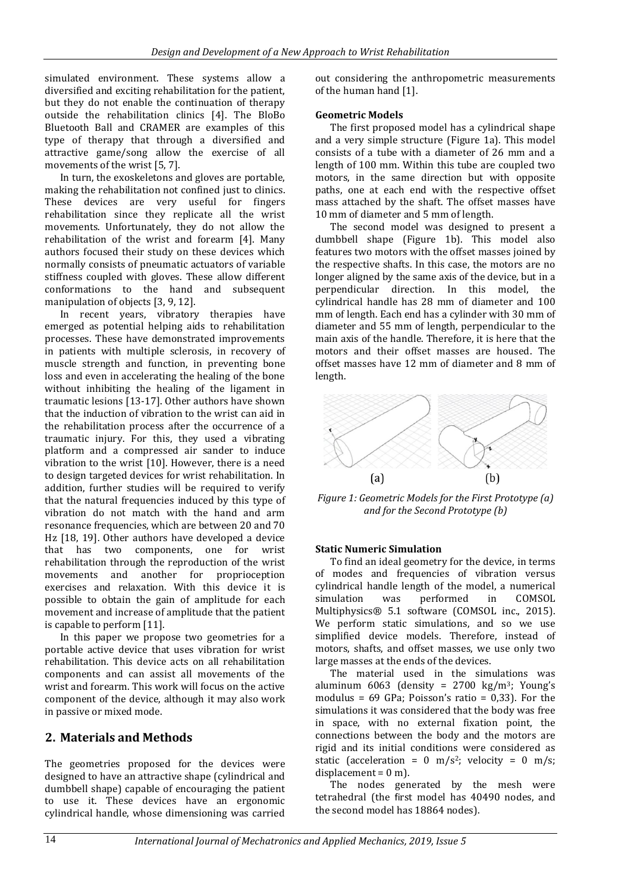simulated environment. These systems allow a diversified and exciting rehabilitation for the patient, but they do not enable the continuation of therapy outside the rehabilitation clinics [4]. The BloBo Bluetooth Ball and CRAMER are examples of this type of therapy that through a diversified and attractive game/song allow the exercise of all movements of the wrist [5, 7].

In turn, the exoskeletons and gloves are portable, making the rehabilitation not confined just to clinics. These devices are very useful for fingers rehabilitation since they replicate all the wrist movements. Unfortunately, they do not allow the rehabilitation of the wrist and forearm [4]. Many authors focused their study on these devices which normally consists of pneumatic actuators of variable stiffness coupled with gloves. These allow different conformations to the hand and subsequent manipulation of objects [3, 9, 12].

In recent years, vibratory therapies have emerged as potential helping aids to rehabilitation processes. These have demonstrated improvements in patients with multiple sclerosis, in recovery of muscle strength and function, in preventing bone loss and even in accelerating the healing of the bone without inhibiting the healing of the ligament in traumatic lesions [13-17]. Other authors have shown that the induction of vibration to the wrist can aid in the rehabilitation process after the occurrence of a traumatic injury. For this, they used a vibrating platform and a compressed air sander to induce vibration to the wrist [10]. However, there is a need to design targeted devices for wrist rehabilitation. In addition, further studies will be required to verify that the natural frequencies induced by this type of vibration do not match with the hand and arm resonance frequencies, which are between 20 and 70 Hz [18, 19]. Other authors have developed a device that has two components, one for wrist rehabilitation through the reproduction of the wrist movements and another for proprioception exercises and relaxation. With this device it is possible to obtain the gain of amplitude for each movement and increase of amplitude that the patient is capable to perform [11].

In this paper we propose two geometries for a portable active device that uses vibration for wrist rehabilitation. This device acts on all rehabilitation components and can assist all movements of the wrist and forearm. This work will focus on the active component of the device, although it may also work in passive or mixed mode.

### **2. Materials and Methods**

The geometries proposed for the devices were designed to have an attractive shape (cylindrical and dumbbell shape) capable of encouraging the patient to use it. These devices have an ergonomic cylindrical handle, whose dimensioning was carried out considering the anthropometric measurements of the human hand [1].

#### **Geometric Models**

The first proposed model has a cylindrical shape and a very simple structure (Figure 1a). This model consists of a tube with a diameter of 26 mm and a length of 100 mm. Within this tube are coupled two motors, in the same direction but with opposite paths, one at each end with the respective offset mass attached by the shaft. The offset masses have 10 mm of diameter and 5 mm of length.

The second model was designed to present a dumbbell shape (Figure 1b). This model also features two motors with the offset masses joined by the respective shafts. In this case, the motors are no longer aligned by the same axis of the device, but in a perpendicular direction. In this model, the cylindrical handle has 28 mm of diameter and 100 mm of length. Each end has a cylinder with 30 mm of diameter and 55 mm of length, perpendicular to the main axis of the handle. Therefore, it is here that the motors and their offset masses are housed. The offset masses have 12 mm of diameter and 8 mm of length.



*Figure 1: Geometric Models for the First Prototype (a) and for the Second Prototype (b)*

### **Static Numeric Simulation**

To find an ideal geometry for the device, in terms of modes and frequencies of vibration versus cylindrical handle length of the model, a numerical simulation was performed in COMSOL Multiphysics® 5.1 software (COMSOL inc., 2015). We perform static simulations, and so we use simplified device models. Therefore, instead of motors, shafts, and offset masses, we use only two large masses at the ends of the devices.

The material used in the simulations was aluminum 6063 (density =  $2700 \text{ kg/m}^3$ ; Young's modulus =  $69$  GPa; Poisson's ratio = 0,33). For the simulations it was considered that the body was free in space, with no external fixation point, the connections between the body and the motors are rigid and its initial conditions were considered as static (acceleration =  $0 \text{ m/s}^2$ ; velocity =  $0 \text{ m/s}$ ; displacement =  $0$  m).

The nodes generated by the mesh were tetrahedral (the first model has 40490 nodes, and the second model has 18864 nodes).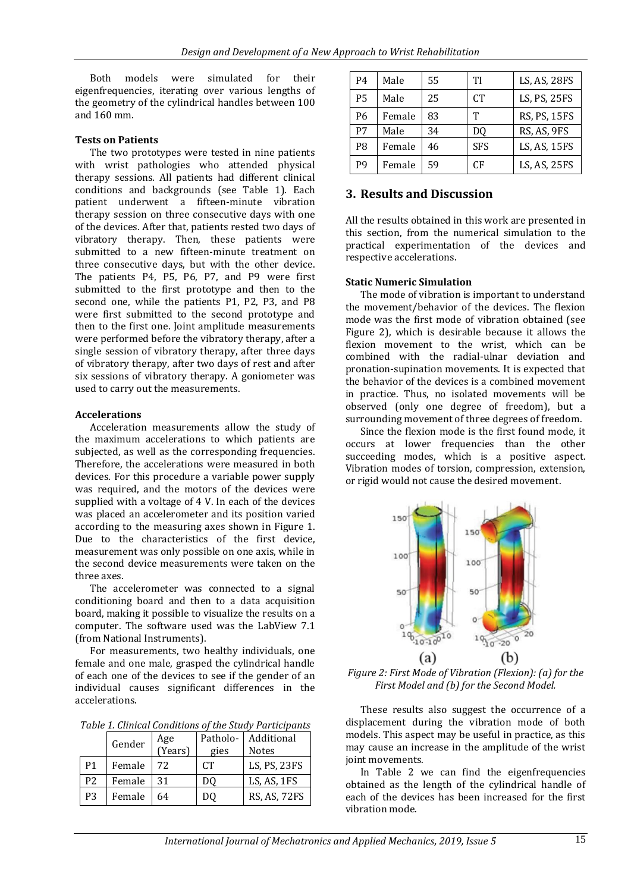Both models were simulated for their eigenfrequencies, iterating over various lengths of the geometry of the cylindrical handles between 100 and 160 mm.

#### **Tests on Patients**

The two prototypes were tested in nine patients with wrist pathologies who attended physical therapy sessions. All patients had different clinical conditions and backgrounds (see Table 1). Each patient underwent a fifteen-minute vibration therapy session on three consecutive days with one of the devices. After that, patients rested two days of vibratory therapy. Then, these patients were submitted to a new fifteen-minute treatment on three consecutive days, but with the other device. The patients P4, P5, P6, P7, and P9 were first submitted to the first prototype and then to the second one, while the patients P1, P2, P3, and P8 were first submitted to the second prototype and then to the first one. Joint amplitude measurements were performed before the vibratory therapy, after a single session of vibratory therapy, after three days of vibratory therapy, after two days of rest and after six sessions of vibratory therapy. A goniometer was used to carry out the measurements.

#### **Accelerations**

Acceleration measurements allow the study of the maximum accelerations to which patients are subjected, as well as the corresponding frequencies. Therefore, the accelerations were measured in both devices. For this procedure a variable power supply was required, and the motors of the devices were supplied with a voltage of 4 V. In each of the devices was placed an accelerometer and its position varied according to the measuring axes shown in Figure 1. Due to the characteristics of the first device, measurement was only possible on one axis, while in the second device measurements were taken on the three axes.

The accelerometer was connected to a signal conditioning board and then to a data acquisition board, making it possible to visualize the results on a computer. The software used was the LabView 7.1 (from National Instruments).

For measurements, two healthy individuals, one female and one male, grasped the cylindrical handle of each one of the devices to see if the gender of an individual causes significant differences in the accelerations.

*Table 1. Clinical Conditions of the Study Participants*

|                | Gender | Age<br>(Years) | Patholo- | Additional   |
|----------------|--------|----------------|----------|--------------|
|                |        |                | gies     | <b>Notes</b> |
| P <sub>1</sub> | Female | 72             | CT.      | LS, PS, 23FS |
| P <sub>2</sub> | Female | 31             | DO       | LS, AS, 1FS  |
| P <sub>3</sub> | Female | 64             | 0(1)     | RS, AS, 72FS |

| P4        | Male   | 55 | TI              | LS, AS, 28FS |
|-----------|--------|----|-----------------|--------------|
| <b>P5</b> | Male   | 25 | CT <sup>-</sup> | LS, PS, 25FS |
| P6        | Female | 83 | т               | RS, PS, 15FS |
| P7        | Male   | 34 | D0              | RS, AS, 9FS  |
| P8        | Female | 46 | <b>SFS</b>      | LS, AS, 15FS |
| p9        | Female | 59 | CF              | LS, AS, 25FS |

### **3. Results and Discussion**

All the results obtained in this work are presented in this section, from the numerical simulation to the practical experimentation of the devices and respective accelerations.

#### **Static Numeric Simulation**

The mode of vibration is important to understand the movement/behavior of the devices. The flexion mode was the first mode of vibration obtained (see Figure 2), which is desirable because it allows the flexion movement to the wrist, which can be combined with the radial-ulnar deviation and pronation-supination movements. It is expected that the behavior of the devices is a combined movement in practice. Thus, no isolated movements will be observed (only one degree of freedom), but a surrounding movement of three degrees of freedom.

Since the flexion mode is the first found mode, it occurs at lower frequencies than the other succeeding modes, which is a positive aspect. Vibration modes of torsion, compression, extension, or rigid would not cause the desired movement.



*Figure 2: First Mode of Vibration (Flexion): (a) for the First Model and (b) for the Second Model.*

These results also suggest the occurrence of a displacement during the vibration mode of both models. This aspect may be useful in practice, as this may cause an increase in the amplitude of the wrist joint movements.

In Table 2 we can find the eigenfrequencies obtained as the length of the cylindrical handle of each of the devices has been increased for the first vibration mode.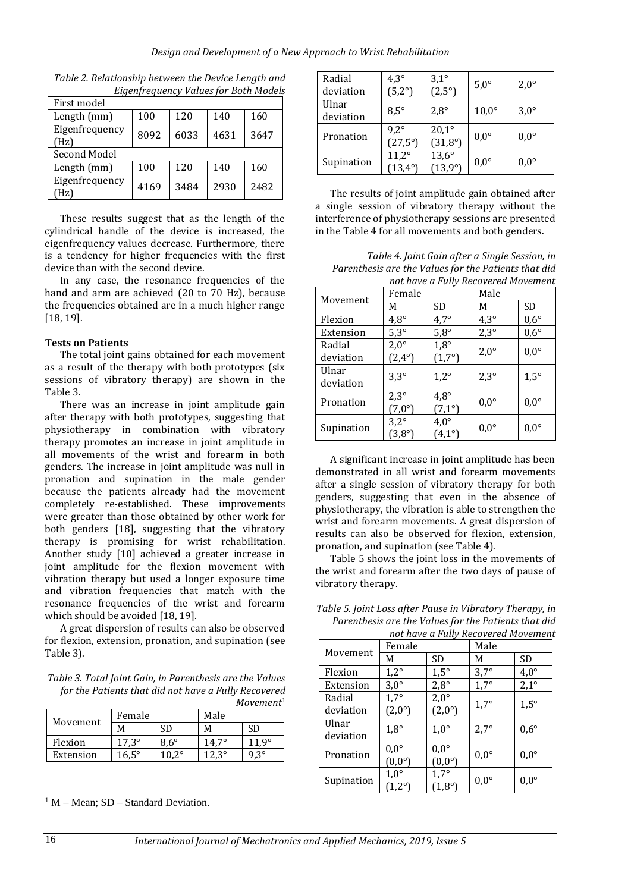| First model            |      |      |      |      |  |  |
|------------------------|------|------|------|------|--|--|
| Length (mm)            | 100  | 120  | 140  | 160  |  |  |
| Eigenfrequency<br>(Hz) | 8092 | 6033 | 4631 | 3647 |  |  |
| Second Model           |      |      |      |      |  |  |
| Length (mm)            | 100  | 120  | 140  | 160  |  |  |
| Eigenfrequency<br>Hz)  | 4169 | 3484 | 2930 | 2482 |  |  |

*Table 2. Relationship between the Device Length and Eigenfrequency Values for Both Models*

These results suggest that as the length of the cylindrical handle of the device is increased, the eigenfrequency values decrease. Furthermore, there is a tendency for higher frequencies with the first device than with the second device.

In any case, the resonance frequencies of the hand and arm are achieved (20 to 70 Hz), because the frequencies obtained are in a much higher range [18, 19].

### **Tests on Patients**

The total joint gains obtained for each movement as a result of the therapy with both prototypes (six sessions of vibratory therapy) are shown in the Table 3.

There was an increase in joint amplitude gain after therapy with both prototypes, suggesting that physiotherapy in combination with vibratory therapy promotes an increase in joint amplitude in all movements of the wrist and forearm in both genders. The increase in joint amplitude was null in pronation and supination in the male gender because the patients already had the movement completely re-established. These improvements were greater than those obtained by other work for both genders [18], suggesting that the vibratory therapy is promising for wrist rehabilitation. Another study [10] achieved a greater increase in joint amplitude for the flexion movement with vibration therapy but used a longer exposure time and vibration frequencies that match with the resonance frequencies of the wrist and forearm which should be avoided [18, 19].

A great dispersion of results can also be observed for flexion, extension, pronation, and supination (see Table 3).

*Table 3. Total Joint Gain, in Parenthesis are the Values for the Patients that did not have a Fully Recovered Movement*<sup>1</sup>

|           |              | 110 VEHICHL |       |       |
|-----------|--------------|-------------|-------|-------|
|           | Female       |             | Male  |       |
| Movement  | м            | SD          | M     | SD    |
| Flexion   | $17.3^\circ$ | $8.6^\circ$ | 14.7° | 11 Q° |
| Extension | $16.5^\circ$ | 10 2°       |       | २०    |

 $1 M - Mean$ ; SD – Standard Deviation.

| Radial<br>deviation | $4,3^{\circ}$<br>$(5,2^{\circ})$  | $3,1^\circ$<br>$(2,5^{\circ})$     | $5,0^\circ$   | $2,0^{\circ}$ |
|---------------------|-----------------------------------|------------------------------------|---------------|---------------|
| Ulnar<br>deviation  | $8,5^{\circ}$                     | $2,8^{\circ}$                      | $10,0^\circ$  | $3,0^\circ$   |
| Pronation           | $9,2^{\circ}$<br>$(27,5^{\circ})$ | $20,1^{\circ}$<br>$(31,8^{\circ})$ | $0,0^{\circ}$ | $0,0^{\circ}$ |
| Supination          | $11,2^\circ$<br>$(13,4^{\circ})$  | $13,6^{\circ}$<br>(13,9°)          | $0,0^{\circ}$ | $0,0^{\circ}$ |

The results of joint amplitude gain obtained after a single session of vibratory therapy without the interference of physiotherapy sessions are presented in the Table 4 for all movements and both genders.

*Table 4. Joint Gain after a Single Session, in Parenthesis are the Values for the Patients that did not have a Fully Recovered Movement*

|                     | Female                           |                                  | Male          |               |
|---------------------|----------------------------------|----------------------------------|---------------|---------------|
| Movement            | М                                | <b>SD</b>                        | M             | <b>SD</b>     |
| Flexion             | $4.8^\circ$                      | $4,7^\circ$                      | $4,3^{\circ}$ | $0,6^{\circ}$ |
| Extension           | $5,3^\circ$                      | $5,8^\circ$                      | $2,3^{\circ}$ | $0,6^{\circ}$ |
| Radial<br>deviation | $2,0^{\circ}$<br>$(2,4^{\circ})$ | $1,8^{\circ}$<br>$(1,7^{\circ})$ | $2,0^{\circ}$ | $0.0^{\circ}$ |
| Ulnar<br>deviation  | $3,3^{\circ}$                    | $1,2^{\circ}$                    | $2,3^{\circ}$ | $1.5^\circ$   |
| Pronation           | $2,3^{\circ}$<br>$(7,0^{\circ})$ | $4.8^\circ$<br>$(7,1^{\circ})$   | $0,0^{\circ}$ | $0.0^{\circ}$ |
| Supination          | $3,2^{\circ}$<br>$(3,8^{\circ})$ | $4.0^\circ$<br>$(4,1^{\circ})$   | $0.0^\circ$   | $0.0^{\circ}$ |

A significant increase in joint amplitude has been demonstrated in all wrist and forearm movements after a single session of vibratory therapy for both genders, suggesting that even in the absence of physiotherapy, the vibration is able to strengthen the wrist and forearm movements. A great dispersion of results can also be observed for flexion, extension, pronation, and supination (see Table 4).

Table 5 shows the joint loss in the movements of the wrist and forearm after the two days of pause of vibratory therapy.

*Table 5. Joint Loss after Pause in Vibratory Therapy, in Parenthesis are the Values for the Patients that did not have a Fully Recovered Movement*

|            | Female                           |                                  | Male          |               |
|------------|----------------------------------|----------------------------------|---------------|---------------|
| Movement   | М                                | <b>SD</b>                        | M             | <b>SD</b>     |
| Flexion    | $1,2^{\circ}$                    | $1,5^{\circ}$                    | $3,7^\circ$   | $4.0^\circ$   |
| Extension  | $3,0^\circ$                      | $2,8^{\circ}$                    | $1,7^\circ$   | $2,1^{\circ}$ |
| Radial     | $1,7^\circ$                      | $2,0^{\circ}$                    | $1,7^\circ$   | $1,5^{\circ}$ |
| deviation  | $(2,0^{\circ})$                  | $(2,0^{\circ})$                  |               |               |
| Ulnar      | $1,8^{\circ}$                    | $1,0^\circ$                      | $2,7^\circ$   | $0,6^{\circ}$ |
| deviation  |                                  |                                  |               |               |
| Pronation  | $0,0^{\circ}$<br>$(0,0^{\circ})$ | $0,0^{\circ}$<br>$(0,0^{\circ})$ | $0,0^{\circ}$ | $0,0^{\circ}$ |
| Supination | $1,0^{\circ}$<br>$[1,2^{\circ}]$ | $1,7^\circ$<br>$(1,8^{\circ})$   | $0,0^{\circ}$ | $0,0^{\circ}$ |

 $\overline{a}$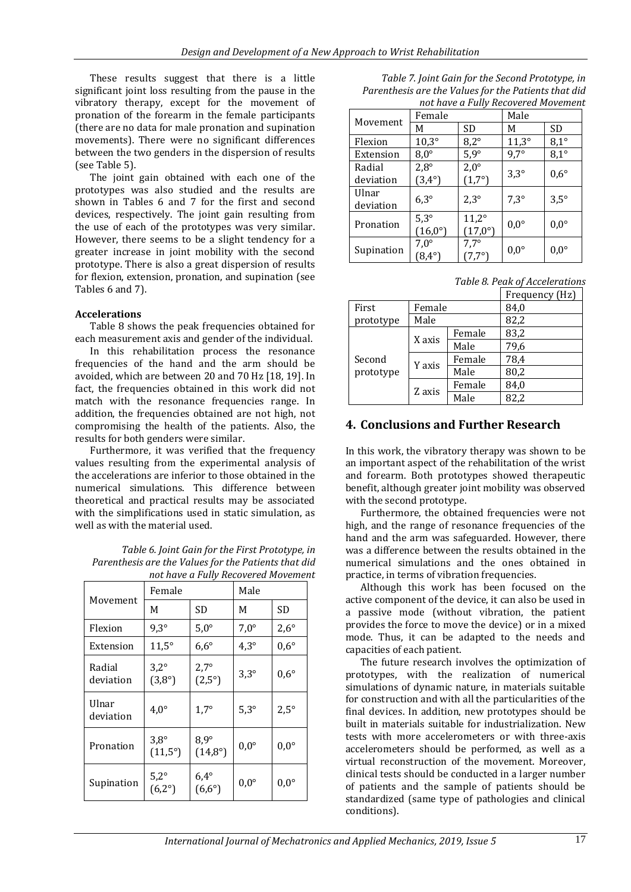These results suggest that there is a little significant joint loss resulting from the pause in the vibratory therapy, except for the movement of pronation of the forearm in the female participants (there are no data for male pronation and supination movements). There were no significant differences between the two genders in the dispersion of results (see Table 5).

The joint gain obtained with each one of the prototypes was also studied and the results are shown in Tables 6 and 7 for the first and second devices, respectively. The joint gain resulting from the use of each of the prototypes was very similar. However, there seems to be a slight tendency for a greater increase in joint mobility with the second prototype. There is also a great dispersion of results for flexion, extension, pronation, and supination (see Tables 6 and 7).

### **Accelerations**

Table 8 shows the peak frequencies obtained for each measurement axis and gender of the individual.

In this rehabilitation process the resonance frequencies of the hand and the arm should be avoided, which are between 20 and 70 Hz [18, 19]. In fact, the frequencies obtained in this work did not match with the resonance frequencies range. In addition, the frequencies obtained are not high, not compromising the health of the patients. Also, the results for both genders were similar.

Furthermore, it was verified that the frequency values resulting from the experimental analysis of the accelerations are inferior to those obtained in the numerical simulations. This difference between theoretical and practical results may be associated with the simplifications used in static simulation, as well as with the material used.

*Table 6. Joint Gain for the First Prototype, in Parenthesis are the Values for the Patients that did not have a Fully Recovered Movement*

|                     | Female                            |                                  | Male          |               |
|---------------------|-----------------------------------|----------------------------------|---------------|---------------|
| Movement            | М                                 | <b>SD</b>                        | M             | SD            |
| Flexion             | $9,3^\circ$                       | $5,0^\circ$                      | $7,0^\circ$   | $2,6^{\circ}$ |
| Extension           | $11,5^\circ$                      | $6,6^{\circ}$                    | $4.3^\circ$   | $0,6^{\circ}$ |
| Radial<br>deviation | $3,2^{\circ}$<br>$(3,8^{\circ})$  | $2,7^{\circ}$<br>$(2,5^{\circ})$ | $3,3^{\circ}$ | $0,6^{\circ}$ |
| Ulnar<br>deviation  | $4.0^\circ$                       | $1,7^\circ$                      | $5,3^\circ$   | $2,5^{\circ}$ |
| Pronation           | $3,8^{\circ}$<br>$(11,5^{\circ})$ | $8,9^\circ$<br>$(14,8^{\circ})$  | $0,0^{\circ}$ | $0,0^{\circ}$ |
| Supination          | $5,2^\circ$<br>$(6,2^{\circ})$    | $6,4^{\circ}$<br>$(6,6^{\circ})$ | $0,0^{\circ}$ | $0,0^{\circ}$ |

| Table 7. Joint Gain for the Second Prototype, in     |
|------------------------------------------------------|
| Parenthesis are the Values for the Patients that did |
| not have a Fully Recovered Movement                  |

|                     | Female                           |                                  | not have a t any necover carriovement<br>Male |               |
|---------------------|----------------------------------|----------------------------------|-----------------------------------------------|---------------|
| Movement            | М                                | <b>SD</b>                        | М                                             | <b>SD</b>     |
| Flexion             | $10,3^\circ$                     | $8,2^{\circ}$                    | $11,3^\circ$                                  | $8,1^\circ$   |
| Extension           | $8,0^{\circ}$                    | $5,9^\circ$                      | $9,7^\circ$                                   | $8,1^\circ$   |
| Radial<br>deviation | $2,8^{\circ}$<br>$(3,4^{\circ})$ | $2,0^{\circ}$<br>$(1,7^{\circ})$ | $3,3^{\circ}$                                 | $0,6^{\circ}$ |
| Ulnar<br>deviation  | $6,3^\circ$                      | $2,3^{\circ}$                    | $7,3^\circ$                                   | $3,5^{\circ}$ |
| Pronation           | $5,3^\circ$<br>$(16,0^{\circ})$  | $11,2^\circ$<br>$(17,0^{\circ})$ | $0,0^{\circ}$                                 | $0,0^{\circ}$ |
| Supination          | $7,0^{\circ}$<br>$(8,4^{\circ})$ | $7,7^\circ$<br>$(7,7^{\circ})$   | $0,0^{\circ}$                                 | $0,0^{\circ}$ |

*Table 8. Peak of Accelerations*

|                     |        |        | Frequency (Hz) |
|---------------------|--------|--------|----------------|
| First               | Female |        | 84,0           |
| prototype           | Male   |        | 82,2           |
| Second<br>prototype | X axis | Female | 83,2           |
|                     |        | Male   | 79,6           |
|                     | Y axis | Female | 78,4           |
|                     |        | Male   | 80,2           |
|                     |        | Female | 84,0           |
|                     | Z axis | Male   | 82,2           |

### **4. Conclusions and Further Research**

In this work, the vibratory therapy was shown to be an important aspect of the rehabilitation of the wrist and forearm. Both prototypes showed therapeutic benefit, although greater joint mobility was observed with the second prototype.

Furthermore, the obtained frequencies were not high, and the range of resonance frequencies of the hand and the arm was safeguarded. However, there was a difference between the results obtained in the numerical simulations and the ones obtained in practice, in terms of vibration frequencies.

Although this work has been focused on the active component of the device, it can also be used in a passive mode (without vibration, the patient provides the force to move the device) or in a mixed mode. Thus, it can be adapted to the needs and capacities of each patient.

The future research involves the optimization of prototypes, with the realization of numerical simulations of dynamic nature, in materials suitable for construction and with all the particularities of the final devices. In addition, new prototypes should be built in materials suitable for industrialization. New tests with more accelerometers or with three-axis accelerometers should be performed, as well as a virtual reconstruction of the movement. Moreover, clinical tests should be conducted in a larger number of patients and the sample of patients should be standardized (same type of pathologies and clinical conditions).